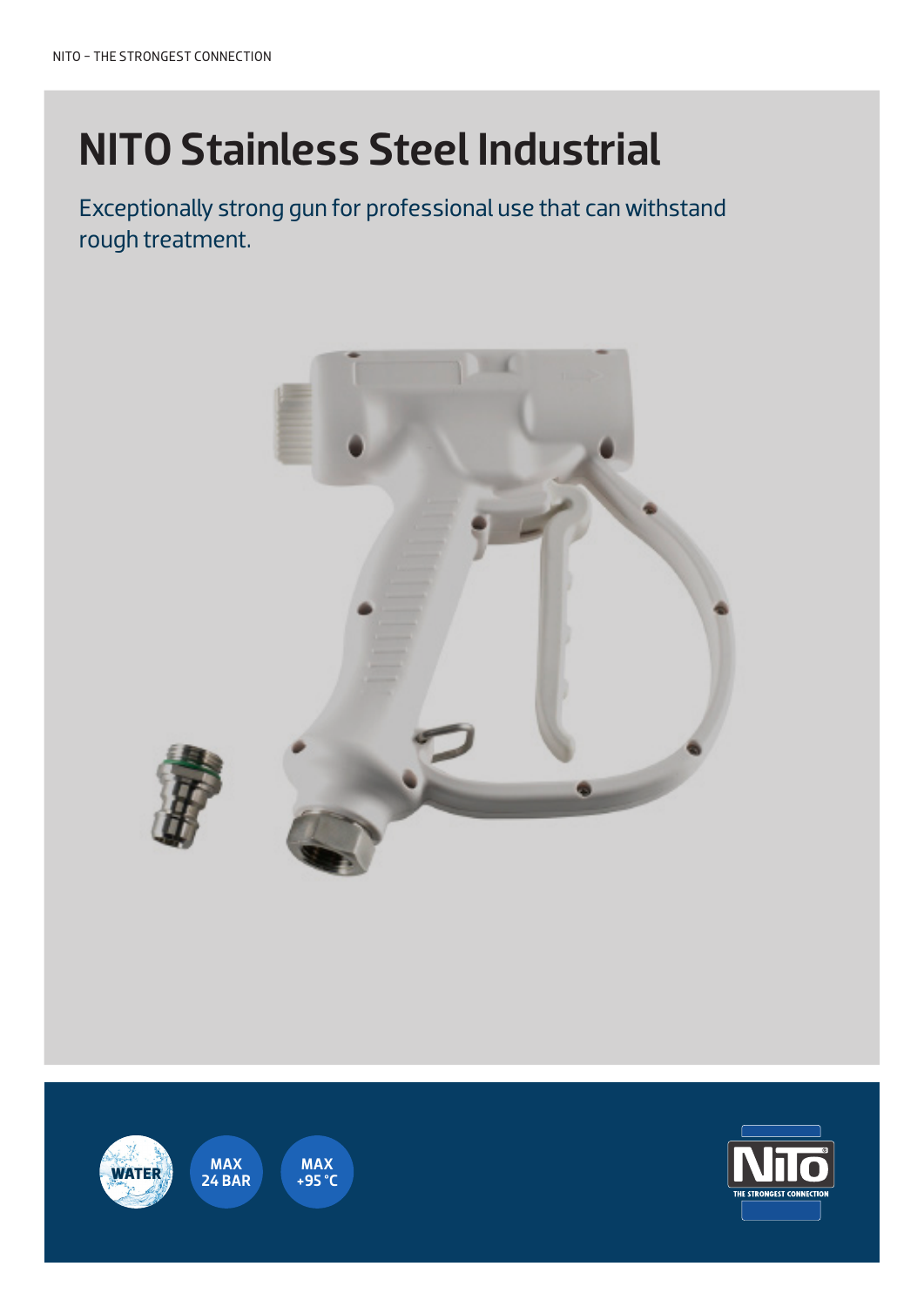# NITO Stainless Steel Industrial

Exceptionally strong gun for professional use that can withstand rough treatment.